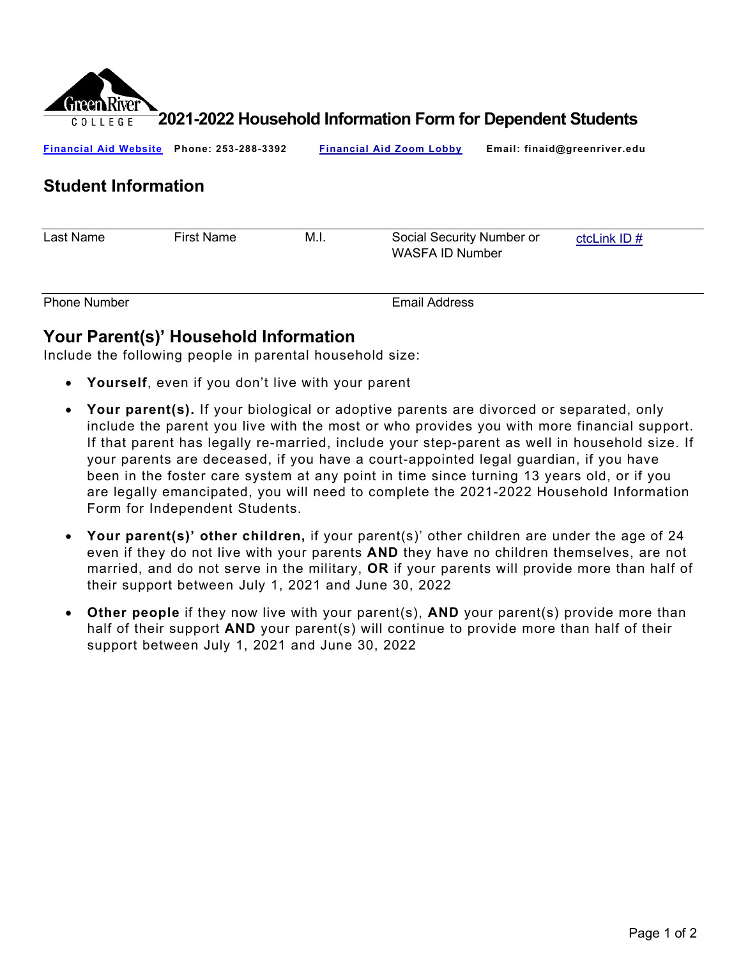

**2021-2022 Household Information Form for Dependent Students**

| <b>Financial Aid Website</b> | Phone: 253-288-3392 |      | <b>Financial Aid Zoom Lobby</b>              | Email: finaid@greenriver.edu |               |
|------------------------------|---------------------|------|----------------------------------------------|------------------------------|---------------|
| <b>Student Information</b>   |                     |      |                                              |                              |               |
| Last Name                    | <b>First Name</b>   | M.I. | Social Security Number or<br>WASFA ID Number |                              | ctcLink $ID#$ |
| <b>Phone Number</b>          |                     |      | <b>Email Address</b>                         |                              |               |

## **Your Parent(s)' Household Information**

Include the following people in parental household size:

- **Yourself**, even if you don't live with your parent
- **Your parent(s).** If your biological or adoptive parents are divorced or separated, only include the parent you live with the most or who provides you with more financial support. If that parent has legally re-married, include your step-parent as well in household size. If your parents are deceased, if you have a court-appointed legal guardian, if you have been in the foster care system at any point in time since turning 13 years old, or if you are legally emancipated, you will need to complete the 2021-2022 Household Information Form for Independent Students.
- **Your parent(s)' other children,** if your parent(s)' other children are under the age of 24 even if they do not live with your parents **AND** they have no children themselves, are not married, and do not serve in the military, **OR** if your parents will provide more than half of their support between July 1, 2021 and June 30, 2022
- **Other people** if they now live with your parent(s), **AND** your parent(s) provide more than half of their support **AND** your parent(s) will continue to provide more than half of their support between July 1, 2021 and June 30, 2022